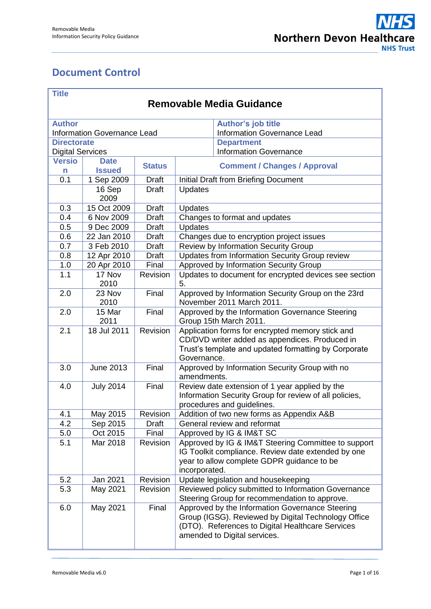# <span id="page-0-0"></span>**Document Control**

| <b>Title</b>                    |                                    |               |                                                                                                                                                                                                     |                                     |  |  |  |
|---------------------------------|------------------------------------|---------------|-----------------------------------------------------------------------------------------------------------------------------------------------------------------------------------------------------|-------------------------------------|--|--|--|
| <b>Removable Media Guidance</b> |                                    |               |                                                                                                                                                                                                     |                                     |  |  |  |
|                                 |                                    |               |                                                                                                                                                                                                     |                                     |  |  |  |
| <b>Author</b>                   |                                    |               |                                                                                                                                                                                                     | Author's job title                  |  |  |  |
|                                 | <b>Information Governance Lead</b> |               |                                                                                                                                                                                                     | <b>Information Governance Lead</b>  |  |  |  |
| <b>Directorate</b>              |                                    |               |                                                                                                                                                                                                     | <b>Department</b>                   |  |  |  |
| <b>Digital Services</b>         |                                    |               |                                                                                                                                                                                                     | <b>Information Governance</b>       |  |  |  |
| <b>Versio</b><br>n              | <b>Date</b><br><b>Issued</b>       | <b>Status</b> | <b>Comment / Changes / Approval</b>                                                                                                                                                                 |                                     |  |  |  |
| 0.1                             | 1 Sep 2009                         | <b>Draft</b>  | <b>Initial Draft from Briefing Document</b>                                                                                                                                                         |                                     |  |  |  |
|                                 | 16 Sep<br>2009                     | <b>Draft</b>  | Updates                                                                                                                                                                                             |                                     |  |  |  |
| 0.3                             | 15 Oct 2009                        | <b>Draft</b>  | Updates                                                                                                                                                                                             |                                     |  |  |  |
| 0.4                             | 6 Nov 2009                         | <b>Draft</b>  |                                                                                                                                                                                                     | Changes to format and updates       |  |  |  |
| 0.5                             | 9 Dec 2009                         | <b>Draft</b>  | Updates                                                                                                                                                                                             |                                     |  |  |  |
| 0.6                             | 22 Jan 2010                        | <b>Draft</b>  | Changes due to encryption project issues                                                                                                                                                            |                                     |  |  |  |
| 0.7                             | 3 Feb 2010                         | <b>Draft</b>  | Review by Information Security Group                                                                                                                                                                |                                     |  |  |  |
| 0.8                             | 12 Apr 2010                        | <b>Draft</b>  | Updates from Information Security Group review                                                                                                                                                      |                                     |  |  |  |
| 1.0                             | 20 Apr 2010                        | Final         | Approved by Information Security Group                                                                                                                                                              |                                     |  |  |  |
| 1.1                             | $\overline{17}$ Nov<br>2010        | Revision      | Updates to document for encrypted devices see section<br>5.                                                                                                                                         |                                     |  |  |  |
| 2.0                             | 23 Nov<br>2010                     | Final         | Approved by Information Security Group on the 23rd<br>November 2011 March 2011.                                                                                                                     |                                     |  |  |  |
| 2.0                             | 15 Mar<br>2011                     | Final         | Approved by the Information Governance Steering                                                                                                                                                     |                                     |  |  |  |
| 2.1                             | 18 Jul 2011                        | Revision      | Group 15th March 2011.<br>Application forms for encrypted memory stick and<br>CD/DVD writer added as appendices. Produced in<br>Trust's template and updated formatting by Corporate<br>Governance. |                                     |  |  |  |
| 3.0                             | <b>June 2013</b>                   | Final         | Approved by Information Security Group with no<br>amendments.                                                                                                                                       |                                     |  |  |  |
| 4.0                             | <b>July 2014</b>                   | Final         | Review date extension of 1 year applied by the<br>Information Security Group for review of all policies,<br>procedures and guidelines.                                                              |                                     |  |  |  |
| 4.1                             | May 2015                           | Revision      | Addition of two new forms as Appendix A&B                                                                                                                                                           |                                     |  |  |  |
| 4.2                             | Sep 2015                           | <b>Draft</b>  | General review and reformat                                                                                                                                                                         |                                     |  |  |  |
| 5.0                             | Oct 2015                           | Final         | Approved by IG & IM&T SC                                                                                                                                                                            |                                     |  |  |  |
| 5.1                             | Mar 2018                           | Revision      | Approved by IG & IM&T Steering Committee to support<br>IG Toolkit compliance. Review date extended by one<br>year to allow complete GDPR guidance to be<br>incorporated.                            |                                     |  |  |  |
| 5.2                             | Jan 2021                           | Revision      |                                                                                                                                                                                                     | Update legislation and housekeeping |  |  |  |
| 5.3                             | May 2021                           | Revision      | Reviewed policy submitted to Information Governance<br>Steering Group for recommendation to approve.                                                                                                |                                     |  |  |  |
| 6.0                             | May 2021                           | Final         | Approved by the Information Governance Steering<br>Group (IGSG). Reviewed by Digital Technology Office<br>(DTO). References to Digital Healthcare Services<br>amended to Digital services.          |                                     |  |  |  |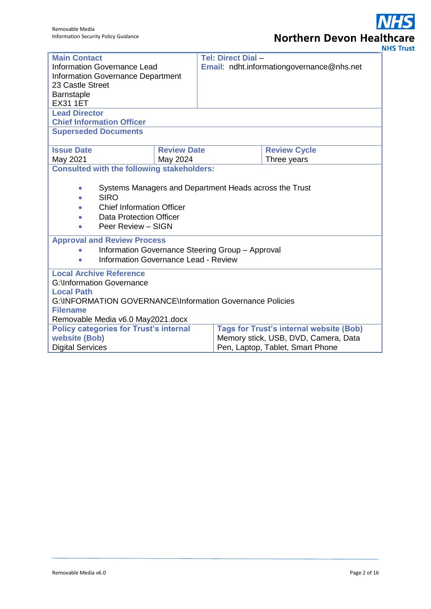| <b>Main Contact</b><br><b>Information Governance Lead</b><br><b>Information Governance Department</b><br>23 Castle Street<br><b>Barnstaple</b><br><b>EX31 1ET</b><br><b>Lead Director</b><br><b>Chief Information Officer</b><br><b>Superseded Documents</b>  |  | Tel: Direct Dial -<br>Email: ndht.informationgovernance@nhs.net |                                                                                                                            |  |  |  |
|---------------------------------------------------------------------------------------------------------------------------------------------------------------------------------------------------------------------------------------------------------------|--|-----------------------------------------------------------------|----------------------------------------------------------------------------------------------------------------------------|--|--|--|
| <b>Issue Date</b><br><b>Review Date</b><br>May 2021<br>May 2024                                                                                                                                                                                               |  |                                                                 | <b>Review Cycle</b><br>Three years                                                                                         |  |  |  |
| <b>Consulted with the following stakeholders:</b><br>Systems Managers and Department Heads across the Trust<br>$\bullet$<br><b>SIRO</b><br>$\bullet$<br><b>Chief Information Officer</b><br><b>Data Protection Officer</b><br>Peer Review - SIGN<br>$\bullet$ |  |                                                                 |                                                                                                                            |  |  |  |
| <b>Approval and Review Process</b><br>Information Governance Steering Group - Approval<br>Information Governance Lead - Review<br>$\bullet$                                                                                                                   |  |                                                                 |                                                                                                                            |  |  |  |
| <b>Local Archive Reference</b><br><b>G:</b> \Information Governance<br><b>Local Path</b><br>G:\INFORMATION GOVERNANCE\Information Governance Policies<br><b>Filename</b><br>Removable Media v6.0 May2021.docx                                                 |  |                                                                 |                                                                                                                            |  |  |  |
| <b>Policy categories for Trust's internal</b><br>website (Bob)<br><b>Digital Services</b>                                                                                                                                                                     |  |                                                                 | <b>Tags for Trust's internal website (Bob)</b><br>Memory stick, USB, DVD, Camera, Data<br>Pen, Laptop, Tablet, Smart Phone |  |  |  |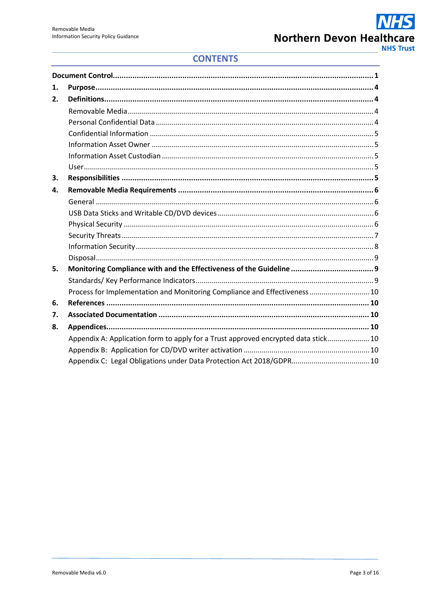# **CONTENTS**

| 1. |                                                                                   |
|----|-----------------------------------------------------------------------------------|
| 2. |                                                                                   |
|    |                                                                                   |
|    |                                                                                   |
|    |                                                                                   |
|    |                                                                                   |
|    |                                                                                   |
|    |                                                                                   |
| 3. |                                                                                   |
| 4. |                                                                                   |
|    |                                                                                   |
|    |                                                                                   |
|    |                                                                                   |
|    |                                                                                   |
|    |                                                                                   |
|    |                                                                                   |
| 5. |                                                                                   |
|    |                                                                                   |
|    | Process for Implementation and Monitoring Compliance and Effectiveness  10        |
| 6. |                                                                                   |
| 7. |                                                                                   |
| 8. |                                                                                   |
|    | Appendix A: Application form to apply for a Trust approved encrypted data stick10 |
|    |                                                                                   |
|    | Appendix C: Legal Obligations under Data Protection Act 2018/GDPR 10              |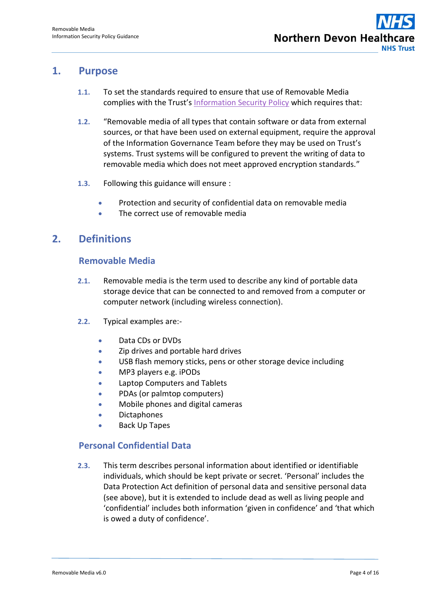# <span id="page-3-0"></span>**1. Purpose**

- **1.1.** To set the standards required to ensure that use of Removable Media complies with the Trust's [Information Security Policy](http://ndht.ndevon.swest.nhs.uk/policies/?p=9610) which requires that:
- **1.2.** "Removable media of all types that contain software or data from external sources, or that have been used on external equipment, require the approval of the Information Governance Team before they may be used on Trust's systems. Trust systems will be configured to prevent the writing of data to removable media which does not meet approved encryption standards."
- **1.3.** Following this guidance will ensure :
	- Protection and security of confidential data on removable media
	- The correct use of removable media

# <span id="page-3-2"></span><span id="page-3-1"></span>**2. Definitions**

## **Removable Media**

- **2.1.** Removable media is the term used to describe any kind of portable data storage device that can be connected to and removed from a computer or computer network (including wireless connection).
- **2.2.** Typical examples are:-
	- Data CDs or DVDs
	- Zip drives and portable hard drives
	- USB flash memory sticks, pens or other storage device including
	- MP3 players e.g. iPODs
	- **•** Laptop Computers and Tablets
	- PDAs (or palmtop computers)
	- Mobile phones and digital cameras
	- **•** Dictaphones
	- **Back Up Tapes**

### <span id="page-3-3"></span>**Personal Confidential Data**

**2.3.** This term describes personal information about identified or identifiable individuals, which should be kept private or secret. 'Personal' includes the Data Protection Act definition of personal data and sensitive personal data (see above), but it is extended to include dead as well as living people and 'confidential' includes both information 'given in confidence' and 'that which is owed a duty of confidence'.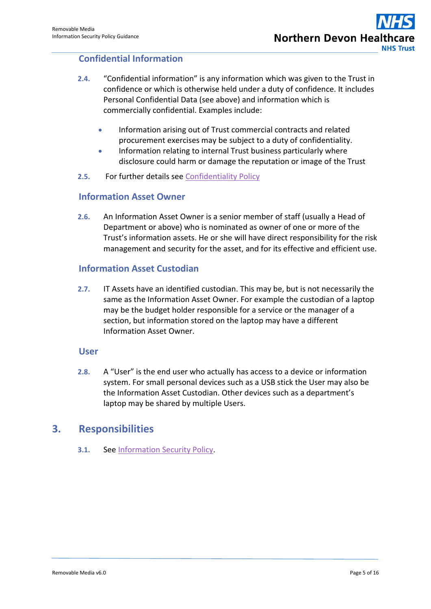## <span id="page-4-0"></span>**Confidential Information**

- **2.4.** "Confidential information" is any information which was given to the Trust in confidence or which is otherwise held under a duty of confidence. It includes Personal Confidential Data (see above) and information which is commercially confidential. Examples include:
	- Information arising out of Trust commercial contracts and related procurement exercises may be subject to a duty of confidentiality.
	- **•** Information relating to internal Trust business particularly where disclosure could harm or damage the reputation or image of the Trust
- **2.5.** For further details see [Confidentiality Policy](http://ndht.ndevon.swest.nhs.uk/policies/?p=40)

## <span id="page-4-1"></span>**Information Asset Owner**

**2.6.** An Information Asset Owner is a senior member of staff (usually a Head of Department or above) who is nominated as owner of one or more of the Trust's information assets. He or she will have direct responsibility for the risk management and security for the asset, and for its effective and efficient use.

### <span id="page-4-2"></span>**Information Asset Custodian**

**2.7.** IT Assets have an identified custodian. This may be, but is not necessarily the same as the Information Asset Owner. For example the custodian of a laptop may be the budget holder responsible for a service or the manager of a section, but information stored on the laptop may have a different Information Asset Owner.

### <span id="page-4-3"></span>**User**

**2.8.** A "User" is the end user who actually has access to a device or information system. For small personal devices such as a USB stick the User may also be the Information Asset Custodian. Other devices such as a department's laptop may be shared by multiple Users.

# <span id="page-4-4"></span>**3. Responsibilities**

**3.1.** See [Information Security Policy.](http://ndht.ndevon.swest.nhs.uk/policies/?p=9610)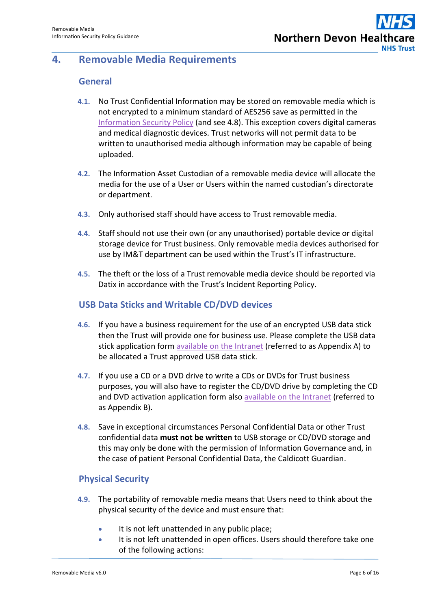# <span id="page-5-1"></span><span id="page-5-0"></span>**4. Removable Media Requirements**

#### **General**

- **4.1.** No Trust Confidential Information may be stored on removable media which is not encrypted to a minimum standard of AES256 save as permitted in the [Information Security Policy](http://ndht.ndevon.swest.nhs.uk/policies/?p=9610) (and see [4.8\)](#page-5-4). This exception covers digital cameras and medical diagnostic devices. Trust networks will not permit data to be written to unauthorised media although information may be capable of being uploaded.
- **4.2.** The Information Asset Custodian of a removable media device will allocate the media for the use of a User or Users within the named custodian's directorate or department.
- **4.3.** Only authorised staff should have access to Trust removable media.
- **4.4.** Staff should not use their own (or any unauthorised) portable device or digital storage device for Trust business. Only removable media devices authorised for use by IM&T department can be used within the Trust's IT infrastructure.
- **4.5.** The theft or the loss of a Trust removable media device should be reported via Datix in accordance with the Trust's Incident Reporting Policy.

### <span id="page-5-2"></span>**USB Data Sticks and Writable CD/DVD devices**

- **4.6.** If you have a business requirement for the use of an encrypted USB data stick then the Trust will provide one for business use. Please complete the USB data stick application form [available on the Intranet](http://ndht.ndevon.swest.nhs.uk/policies/?p=3123) (referred to as Appendix A) to be allocated a Trust approved USB data stick.
- **4.7.** If you use a CD or a DVD drive to write a CDs or DVDs for Trust business purposes, you will also have to register the CD/DVD drive by completing the CD and DVD activation application form also [available on the Intranet](http://ndht.ndevon.swest.nhs.uk/policies/?p=3123) (referred to as Appendix B).
- <span id="page-5-4"></span>**4.8.** Save in exceptional circumstances Personal Confidential Data or other Trust confidential data **must not be written** to USB storage or CD/DVD storage and this may only be done with the permission of Information Governance and, in the case of patient Personal Confidential Data, the Caldicott Guardian.

### <span id="page-5-3"></span>**Physical Security**

- **4.9.** The portability of removable media means that Users need to think about the physical security of the device and must ensure that:
	- It is not left unattended in any public place;
	- It is not left unattended in open offices. Users should therefore take one of the following actions: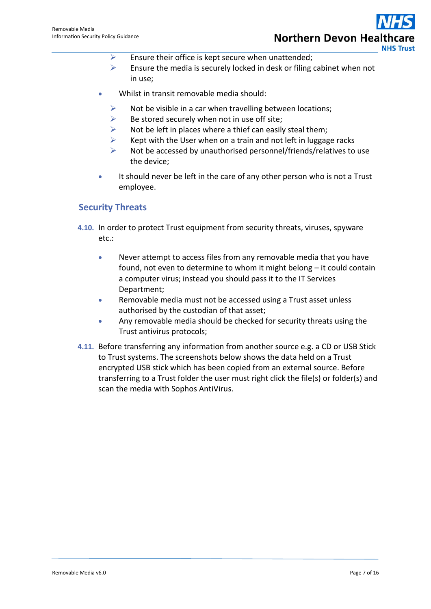- $\triangleright$  Ensure their office is kept secure when unattended;
- $\triangleright$  Ensure the media is securely locked in desk or filing cabinet when not in use;
- Whilst in transit removable media should:
	- $\triangleright$  Not be visible in a car when travelling between locations:
	- $\triangleright$  Be stored securely when not in use off site;
	- $\triangleright$  Not be left in places where a thief can easily steal them;
	- $\triangleright$  Kept with the User when on a train and not left in luggage racks
	- $\triangleright$  Not be accessed by unauthorised personnel/friends/relatives to use the device;
- It should never be left in the care of any other person who is not a Trust employee.

### <span id="page-6-0"></span>**Security Threats**

- **4.10.** In order to protect Trust equipment from security threats, viruses, spyware etc.:
	- Never attempt to access files from any removable media that you have found, not even to determine to whom it might belong – it could contain a computer virus; instead you should pass it to the IT Services Department;
	- Removable media must not be accessed using a Trust asset unless authorised by the custodian of that asset;
	- Any removable media should be checked for security threats using the Trust antivirus protocols;
- **4.11.** Before transferring any information from another source e.g. a CD or USB Stick to Trust systems. The screenshots below shows the data held on a Trust encrypted USB stick which has been copied from an external source. Before transferring to a Trust folder the user must right click the file(s) or folder(s) and scan the media with Sophos AntiVirus.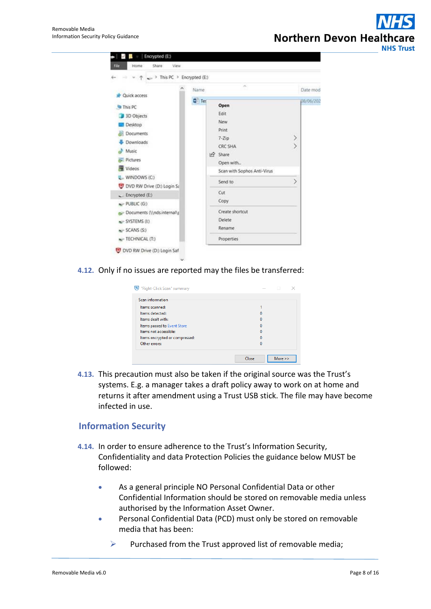| Open<br>Edit<br>New<br>Print<br>$7 - Z$ jp<br>⋟<br><b>CRC SHA</b>                                                                   |
|-------------------------------------------------------------------------------------------------------------------------------------|
| $\curvearrowright$ Share<br>Open with<br>Scan with Sophos Anti-Virus<br>⋋<br>Send to<br>Copy<br>Create shortcut<br>Delete<br>Rename |
| Properties                                                                                                                          |

**4.12.** Only if no issues are reported may the files be transferred:

| <sup>5</sup> "Right-Click Scan" summary | $-$                 |
|-----------------------------------------|---------------------|
| <b>Scan information</b>                 |                     |
| Items scanned:                          |                     |
| Items detected:                         |                     |
| Items dealt with:                       |                     |
| Items passed to Event Store             |                     |
| Items not accessible:                   |                     |
| Items encrypted or compressed:          |                     |
| Other errors:                           |                     |
|                                         | $More \gg$<br>Close |

**4.13.** This precaution must also be taken if the original source was the Trust's systems. E.g. a manager takes a draft policy away to work on at home and returns it after amendment using a Trust USB stick. The file may have become infected in use.

## <span id="page-7-0"></span>**Information Security**

- **4.14.** In order to ensure adherence to the Trust's Information Security, Confidentiality and data Protection Policies the guidance below MUST be followed:
	- As a general principle NO Personal Confidential Data or other Confidential Information should be stored on removable media unless authorised by the Information Asset Owner.
	- Personal Confidential Data (PCD) must only be stored on removable media that has been:
		- $\triangleright$  Purchased from the Trust approved list of removable media;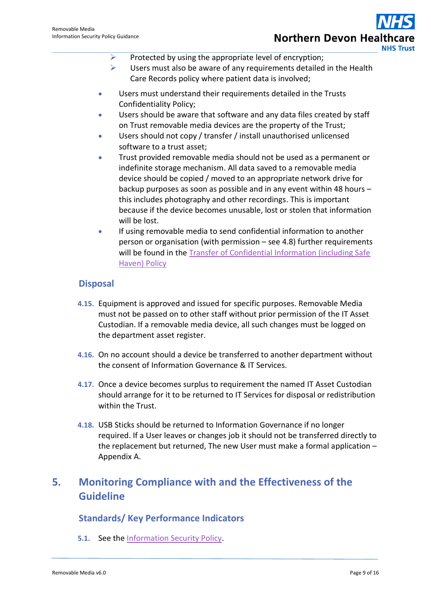- $\triangleright$  Protected by using the appropriate level of encryption;
- $\triangleright$  Users must also be aware of any requirements detailed in the Health Care Records policy where patient data is involved;
- Users must understand their requirements detailed in the Trusts Confidentiality Policy;
- Users should be aware that software and any data files created by staff on Trust removable media devices are the property of the Trust;
- Users should not copy / transfer / install unauthorised unlicensed software to a trust asset;
- Trust provided removable media should not be used as a permanent or indefinite storage mechanism. All data saved to a removable media device should be copied / moved to an appropriate network drive for backup purposes as soon as possible and in any event within 48 hours – this includes photography and other recordings. This is important because if the device becomes unusable, lost or stolen that information will be lost.
- If using removable media to send confidential information to another person or organisation (with permission – se[e 4.8\)](#page-5-4) further requirements will be found in the [Transfer of Confidential Information \(including Safe](http://ndht.ndevon.swest.nhs.uk/policies/?p=3120)  [Haven\) Policy](http://ndht.ndevon.swest.nhs.uk/policies/?p=3120)

## <span id="page-8-0"></span>**Disposal**

- **4.15.** Equipment is approved and issued for specific purposes. Removable Media must not be passed on to other staff without prior permission of the IT Asset Custodian. If a removable media device, all such changes must be logged on the department asset register.
- **4.16.** On no account should a device be transferred to another department without the consent of Information Governance & IT Services.
- **4.17.** Once a device becomes surplus to requirement the named IT Asset Custodian should arrange for it to be returned to IT Services for disposal or redistribution within the Trust.
- **4.18.** USB Sticks should be returned to Information Governance if no longer required. If a User leaves or changes job it should not be transferred directly to the replacement but returned, The new User must make a formal application – Appendix A.

# <span id="page-8-1"></span>**5. Monitoring Compliance with and the Effectiveness of the Guideline**

### <span id="page-8-2"></span>**Standards/ Key Performance Indicators**

**5.1.** See the [Information Security Policy.](http://ndht.ndevon.swest.nhs.uk/policies/?p=9610)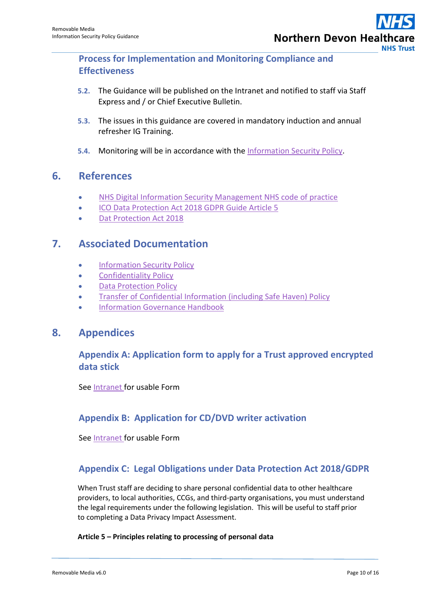<span id="page-9-0"></span>**Process for Implementation and Monitoring Compliance and Effectiveness**

- **5.2.** The Guidance will be published on the Intranet and notified to staff via Staff Express and / or Chief Executive Bulletin.
- **5.3.** The issues in this guidance are covered in mandatory induction and annual refresher IG Training.
- **5.4.** Monitoring will be in accordance with th[e Information Security Policy.](http://ndht.ndevon.swest.nhs.uk/policies/?p=9610)

# <span id="page-9-1"></span>**6. References**

- [NHS Digital Information Security Management NHS code of practice](https://digital.nhs.uk/data-and-information/looking-after-information/data-security-and-information-governance/codes-of-practice-for-handling-information-in-health-and-care/information-security-management-nhs-code-of-practice)
- [ICO Data Protection Act 2018 GDPR Guide Article 5](https://ico.org.uk/for-organisations/guide-to-data-protection/guide-to-the-general-data-protection-regulation-gdpr/principles/)
- [Dat Protection Act 2018](https://www.legislation.gov.uk/ukpga/2018/12/contents/enacted)

# <span id="page-9-2"></span>**7. Associated Documentation**

- **•** [Information Security Policy](http://ndht.ndevon.swest.nhs.uk/policies/?p=9610)
- [Confidentiality Policy](https://ndht.ndevon.swest.nhs.uk/confidentiality-policy/)
- [Data Protection Policy](http://ndht.ndevon.swest.nhs.uk/policies/?p=7224)
- [Transfer of Confidential Information \(including Safe Haven\) Policy](http://ndht.ndevon.swest.nhs.uk/policies/?p=3120)
- [Information Governance Handbook](http://ndht.ndevon.swest.nhs.uk/policies/?p=13132)

# <span id="page-9-4"></span><span id="page-9-3"></span>**8. Appendices**

# **Appendix A: Application form to apply for a Trust approved encrypted data stick**

See [Intranet f](http://ndht.ndevon.swest.nhs.uk/policies/?p=3123)or usable Form

## <span id="page-9-5"></span>**Appendix B: Application for CD/DVD writer activation**

See [Intranet f](http://ndht.ndevon.swest.nhs.uk/policies/?p=3123)or usable Form

## <span id="page-9-6"></span>**Appendix C: Legal Obligations under Data Protection Act 2018/GDPR**

When Trust staff are deciding to share personal confidential data to other healthcare providers, to local authorities, CCGs, and third-party organisations, you must understand the legal requirements under the following legislation. This will be useful to staff prior to completing a Data Privacy Impact Assessment.

#### **Article 5 – Principles relating to processing of personal data**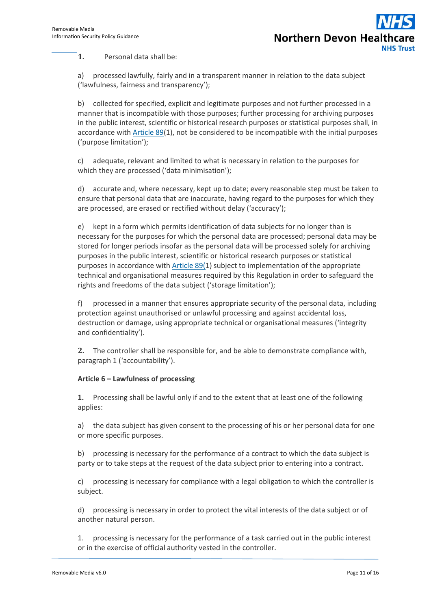**1.** Personal data shall be:

a) processed lawfully, fairly and in a transparent manner in relation to the data subject ('lawfulness, fairness and transparency');

b) collected for specified, explicit and legitimate purposes and not further processed in a manner that is incompatible with those purposes; further processing for archiving purposes in the public interest, scientific or historical research purposes or statistical purposes shall, in accordance with [Article](https://gdpr-info.eu/art-89-gdpr/) 89(1), not be considered to be incompatible with the initial purposes ('purpose limitation');

c) adequate, relevant and limited to what is necessary in relation to the purposes for which they are processed ('data minimisation');

d) accurate and, where necessary, kept up to date; every reasonable step must be taken to ensure that personal data that are inaccurate, having regard to the purposes for which they are processed, are erased or rectified without delay ('accuracy');

e) kept in a form which permits identification of data subjects for no longer than is necessary for the purposes for which the personal data are processed; personal data may be stored for longer periods insofar as the personal data will be processed solely for archiving purposes in the public interest, scientific or historical research purposes or statistical purposes in accordance with [Article](https://gdpr-info.eu/art-89-gdpr/) 89(1) subject to implementation of the appropriate technical and organisational measures required by this Regulation in order to safeguard the rights and freedoms of the data subject ('storage limitation');

f) processed in a manner that ensures appropriate security of the personal data, including protection against unauthorised or unlawful processing and against accidental loss, destruction or damage, using appropriate technical or organisational measures ('integrity and confidentiality').

**2.** The controller shall be responsible for, and be able to demonstrate compliance with, paragraph 1 ('accountability').

#### **Article 6 – Lawfulness of processing**

**1.** Processing shall be lawful only if and to the extent that at least one of the following applies:

a) the data subject has given consent to the processing of his or her personal data for one or more specific purposes.

b) processing is necessary for the performance of a contract to which the data subject is party or to take steps at the request of the data subject prior to entering into a contract.

c) processing is necessary for compliance with a legal obligation to which the controller is subject.

d) processing is necessary in order to protect the vital interests of the data subject or of another natural person.

1. processing is necessary for the performance of a task carried out in the public interest or in the exercise of official authority vested in the controller.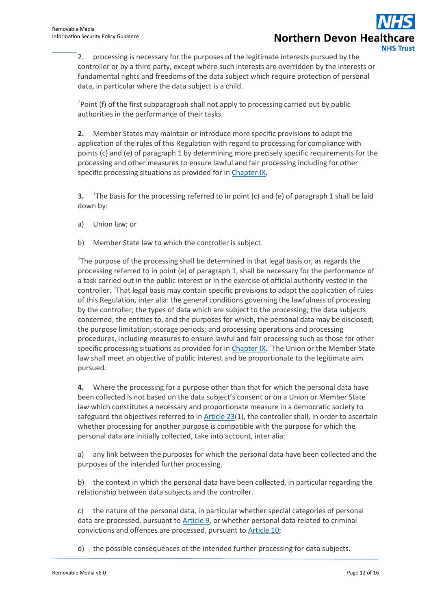

2. processing is necessary for the purposes of the legitimate interests pursued by the controller or by a third party, except where such interests are overridden by the interests or fundamental rights and freedoms of the data subject which require protection of personal data, in particular where the data subject is a child.

 $2$ Point (f) of the first subparagraph shall not apply to processing carried out by public authorities in the performance of their tasks.

**2.** Member States may maintain or introduce more specific provisions to adapt the application of the rules of this Regulation with regard to processing for compliance with points (c) and (e) of paragraph 1 by determining more precisely specific requirements for the processing and other measures to ensure lawful and fair processing including for other specific processing situations as provided for in [Chapter](https://gdpr-info.eu/chapter-9/) IX.

**3.** <sup>1</sup> <sup>1</sup>The basis for the processing referred to in point (c) and (e) of paragraph 1 shall be laid down by:

- a) Union law; or
- b) Member State law to which the controller is subject.

 $2$ The purpose of the processing shall be determined in that legal basis or, as regards the processing referred to in point (e) of paragraph 1, shall be necessary for the performance of a task carried out in the public interest or in the exercise of official authority vested in the controller. <sup>3</sup>That legal basis may contain specific provisions to adapt the application of rules of this Regulation, inter alia: the general conditions governing the lawfulness of processing by the controller; the types of data which are subject to the processing; the data subjects concerned; the entities to, and the purposes for which, the personal data may be disclosed; the purpose limitation; storage periods; and processing operations and processing procedures, including measures to ensure lawful and fair processing such as those for other specific processing situations as provided for in **[Chapter](https://gdpr-info.eu/chapter-9/) IX**. <sup>4</sup>The Union or the Member State law shall meet an objective of public interest and be proportionate to the legitimate aim pursued.

**4.** Where the processing for a purpose other than that for which the personal data have been collected is not based on the data subject's consent or on a Union or Member State law which constitutes a necessary and proportionate measure in a democratic society to safeguard the objectives referred to in [Article](https://gdpr-info.eu/art-23-gdpr/) 23(1), the controller shall, in order to ascertain whether processing for another purpose is compatible with the purpose for which the personal data are initially collected, take into account, inter alia:

a) any link between the purposes for which the personal data have been collected and the purposes of the intended further processing.

b) the context in which the personal data have been collected, in particular regarding the relationship between data subjects and the controller.

c) the nature of the personal data, in particular whether special categories of personal data are processed, pursuant to [Article](https://gdpr-info.eu/art-9-gdpr/) 9, or whether personal data related to criminal convictions and offences are processed, pursuant to [Article](https://gdpr-info.eu/art-10-gdpr/) 10;

d) the possible consequences of the intended further processing for data subjects.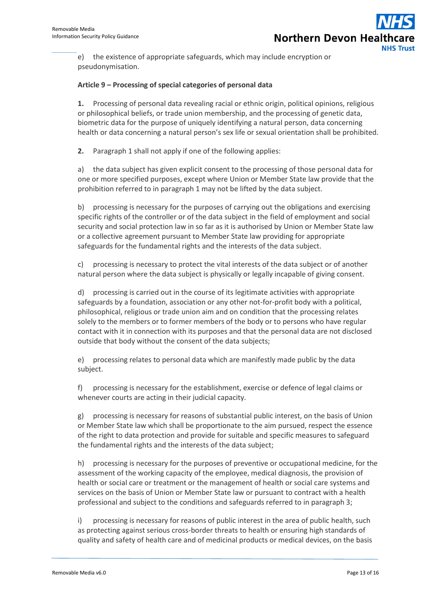

e) the existence of appropriate safeguards, which may include encryption or pseudonymisation.

#### **Article 9 – Processing of special categories of personal data**

**1.** Processing of personal data revealing racial or ethnic origin, political opinions, religious or philosophical beliefs, or trade union membership, and the processing of genetic data, biometric data for the purpose of uniquely identifying a natural person, data concerning health or data concerning a natural person's sex life or sexual orientation shall be prohibited.

**2.** Paragraph 1 shall not apply if one of the following applies:

a) the data subject has given explicit consent to the processing of those personal data for one or more specified purposes, except where Union or Member State law provide that the prohibition referred to in paragraph 1 may not be lifted by the data subject.

b) processing is necessary for the purposes of carrying out the obligations and exercising specific rights of the controller or of the data subject in the field of employment and social security and social protection law in so far as it is authorised by Union or Member State law or a collective agreement pursuant to Member State law providing for appropriate safeguards for the fundamental rights and the interests of the data subject.

c) processing is necessary to protect the vital interests of the data subject or of another natural person where the data subject is physically or legally incapable of giving consent.

d) processing is carried out in the course of its legitimate activities with appropriate safeguards by a foundation, association or any other not-for-profit body with a political, philosophical, religious or trade union aim and on condition that the processing relates solely to the members or to former members of the body or to persons who have regular contact with it in connection with its purposes and that the personal data are not disclosed outside that body without the consent of the data subjects;

e) processing relates to personal data which are manifestly made public by the data subject.

f) processing is necessary for the establishment, exercise or defence of legal claims or whenever courts are acting in their judicial capacity.

g) processing is necessary for reasons of substantial public interest, on the basis of Union or Member State law which shall be proportionate to the aim pursued, respect the essence of the right to data protection and provide for suitable and specific measures to safeguard the fundamental rights and the interests of the data subject;

h) processing is necessary for the purposes of preventive or occupational medicine, for the assessment of the working capacity of the employee, medical diagnosis, the provision of health or social care or treatment or the management of health or social care systems and services on the basis of Union or Member State law or pursuant to contract with a health professional and subject to the conditions and safeguards referred to in paragraph 3;

i) processing is necessary for reasons of public interest in the area of public health, such as protecting against serious cross-border threats to health or ensuring high standards of quality and safety of health care and of medicinal products or medical devices, on the basis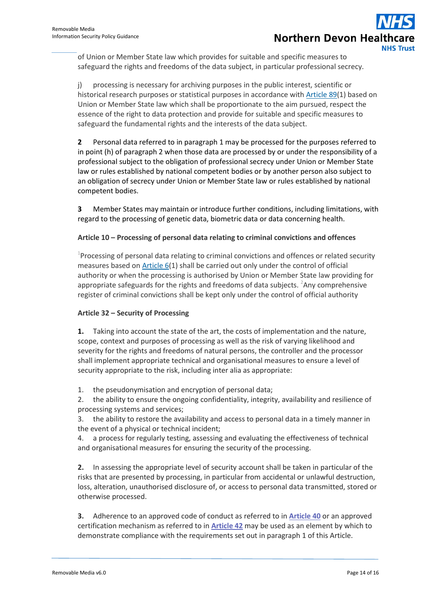

of Union or Member State law which provides for suitable and specific measures to safeguard the rights and freedoms of the data subject, in particular professional secrecy.

j) processing is necessary for archiving purposes in the public interest, scientific or historical research purposes or statistical purposes in accordance with [Article](https://gdpr-info.eu/art-89-gdpr/) 89(1) based on Union or Member State law which shall be proportionate to the aim pursued, respect the essence of the right to data protection and provide for suitable and specific measures to safeguard the fundamental rights and the interests of the data subject.

**2** Personal data referred to in paragraph 1 may be processed for the purposes referred to in point (h) of paragraph 2 when those data are processed by or under the responsibility of a professional subject to the obligation of professional secrecy under Union or Member State law or rules established by national competent bodies or by another person also subject to an obligation of secrecy under Union or Member State law or rules established by national competent bodies.

**3** Member States may maintain or introduce further conditions, including limitations, with regard to the processing of genetic data, biometric data or data concerning health.

#### **Article 10 – Processing of personal data relating to criminal convictions and offences**

 $1$ Processing of personal data relating to criminal convictions and offences or related security measures based on [Article](https://gdpr-info.eu/art-6-gdpr/) 6(1) shall be carried out only under the control of official authority or when the processing is authorised by Union or Member State law providing for appropriate safeguards for the rights and freedoms of data subjects. <sup>2</sup>Any comprehensive register of criminal convictions shall be kept only under the control of official authority

#### **Article 32 – Security of Processing**

**1.** Taking into account the state of the art, the costs of implementation and the nature, scope, context and purposes of processing as well as the risk of varying likelihood and severity for the rights and freedoms of natural persons, the controller and the processor shall implement appropriate technical and organisational measures to ensure a level of security appropriate to the risk, including inter alia as appropriate:

1. the pseudonymisation and encryption of personal data;

2. the ability to ensure the ongoing confidentiality, integrity, availability and resilience of processing systems and services;

3. the ability to restore the availability and access to personal data in a timely manner in the event of a physical or technical incident;

4. a process for regularly testing, assessing and evaluating the effectiveness of technical and organisational measures for ensuring the security of the processing.

**2.** In assessing the appropriate level of security account shall be taken in particular of the risks that are presented by processing, in particular from accidental or unlawful destruction, loss, alteration, unauthorised disclosure of, or access to personal data transmitted, stored or otherwise processed.

**3.** Adherence to an approved code of conduct as referred to in **[Article 40](https://gdpr.eu/article-40-proper-application-of-the-regulation)** or an approved certification mechanism as referred to in **[Article 42](https://gdpr.eu/article-42-data-protection-certification)** may be used as an element by which to demonstrate compliance with the requirements set out in paragraph 1 of this Article.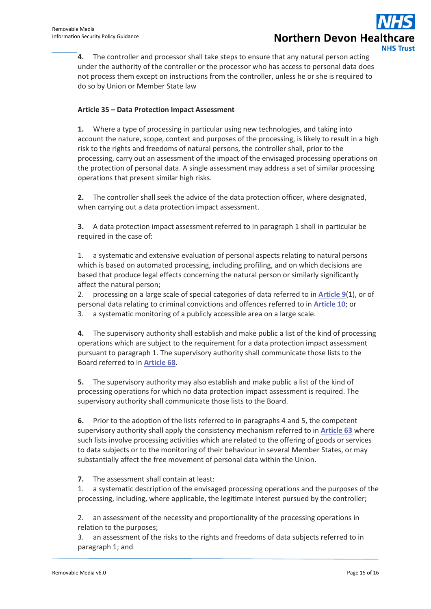

**4.** The controller and processor shall take steps to ensure that any natural person acting under the authority of the controller or the processor who has access to personal data does not process them except on instructions from the controller, unless he or she is required to do so by Union or Member State law

#### **Article 35 – Data Protection Impact Assessment**

**1.** Where a type of processing in particular using new technologies, and taking into account the nature, scope, context and purposes of the processing, is likely to result in a high risk to the rights and freedoms of natural persons, the controller shall, prior to the processing, carry out an assessment of the impact of the envisaged processing operations on the protection of personal data. A single assessment may address a set of similar processing operations that present similar high risks.

**2.** The controller shall seek the advice of the data protection officer, where designated, when carrying out a data protection impact assessment.

**3.** A data protection impact assessment referred to in paragraph 1 shall in particular be required in the case of:

1. a systematic and extensive evaluation of personal aspects relating to natural persons which is based on automated processing, including profiling, and on which decisions are based that produce legal effects concerning the natural person or similarly significantly affect the natural person;

2. processing on a large scale of special categories of data referred to in **[Article 9](https://gdpr.eu/article-9-processing-special-categories-of-personal-data-prohibited)**(1), or of personal data relating to criminal convictions and offences referred to in **[Article 10](https://gdpr.eu/article-10-personal-data-relating-to-criminal-convictions-and-offences)**; or 3. a systematic monitoring of a publicly accessible area on a large scale.

**4.** The supervisory authority shall establish and make public a list of the kind of processing operations which are subject to the requirement for a data protection impact assessment pursuant to paragraph 1. The supervisory authority shall communicate those lists to the Board referred to in **[Article 68](https://gdpr.eu/article-68-what-is-the-european-data-protection-board)**.

**5.** The supervisory authority may also establish and make public a list of the kind of processing operations for which no data protection impact assessment is required. The supervisory authority shall communicate those lists to the Board.

**6.** Prior to the adoption of the lists referred to in paragraphs 4 and 5, the competent supervisory authority shall apply the consistency mechanism referred to in **[Article 63](https://gdpr.eu/article-63-supervisory-authority-consistency-mechanism)** where such lists involve processing activities which are related to the offering of goods or services to data subjects or to the monitoring of their behaviour in several Member States, or may substantially affect the free movement of personal data within the Union.

**7.** The assessment shall contain at least:

1. a systematic description of the envisaged processing operations and the purposes of the processing, including, where applicable, the legitimate interest pursued by the controller;

2. an assessment of the necessity and proportionality of the processing operations in relation to the purposes;

3. an assessment of the risks to the rights and freedoms of data subjects referred to in paragraph 1; and